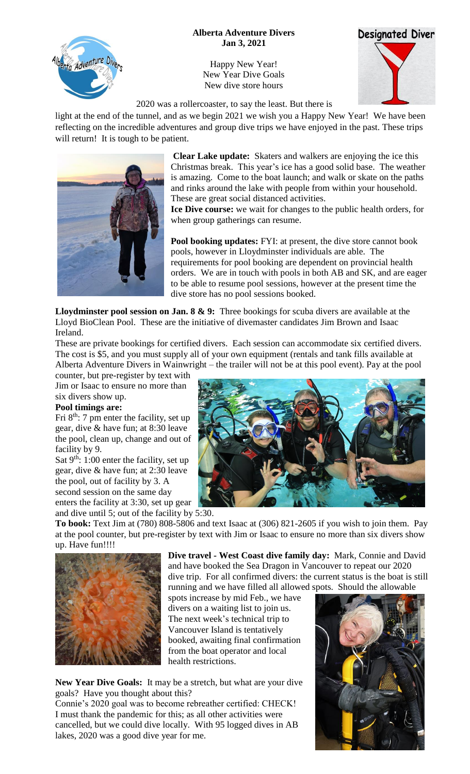## **Alberta Adventure Divers Jan 3, 2021**

Happy New Year! New Year Dive Goals New dive store hours





2020 was a rollercoaster, to say the least. But there is

light at the end of the tunnel, and as we begin 2021 we wish you a Happy New Year! We have been reflecting on the incredible adventures and group dive trips we have enjoyed in the past. These trips will return! It is tough to be patient.



ta Adventure Div

**Clear Lake update:** Skaters and walkers are enjoying the ice this Christmas break. This year's ice has a good solid base. The weather is amazing. Come to the boat launch; and walk or skate on the paths and rinks around the lake with people from within your household. These are great social distanced activities.

**Ice Dive course:** we wait for changes to the public health orders, for when group gatherings can resume.

**Pool booking updates:** FYI: at present, the dive store cannot book pools, however in Lloydminster individuals are able. The requirements for pool booking are dependent on provincial health orders. We are in touch with pools in both AB and SK, and are eager to be able to resume pool sessions, however at the present time the dive store has no pool sessions booked.

**Lloydminster pool session on Jan. 8 & 9:** Three bookings for scuba divers are available at the Lloyd BioClean Pool. These are the initiative of divemaster candidates Jim Brown and Isaac Ireland.

These are private bookings for certified divers. Each session can accommodate six certified divers. The cost is \$5, and you must supply all of your own equipment (rentals and tank fills available at Alberta Adventure Divers in Wainwright – the trailer will not be at this pool event). Pay at the pool

counter, but pre-register by text with Jim or Isaac to ensure no more than six divers show up.

## **Pool timings are:**

Fri  $8<sup>th</sup>$ : 7 pm enter the facility, set up gear, dive & have fun; at 8:30 leave the pool, clean up, change and out of facility by 9.

Sat  $9<sup>th</sup>$ : 1:00 enter the facility, set up gear, dive & have fun; at 2:30 leave the pool, out of facility by 3. A second session on the same day enters the facility at 3:30, set up gear

and dive until 5; out of the facility by 5:30.



**To book:** Text Jim at (780) 808-5806 and text Isaac at (306) 821-2605 if you wish to join them. Pay at the pool counter, but pre-register by text with Jim or Isaac to ensure no more than six divers show up. Have fun!!!!



**Dive travel - West Coast dive family day:** Mark, Connie and David and have booked the Sea Dragon in Vancouver to repeat our 2020 dive trip. For all confirmed divers: the current status is the boat is still running and we have filled all allowed spots. Should the allowable

spots increase by mid Feb., we have divers on a waiting list to join us. The next week's technical trip to Vancouver Island is tentatively booked, awaiting final confirmation from the boat operator and local health restrictions.

**New Year Dive Goals:** It may be a stretch, but what are your dive goals? Have you thought about this?

Connie's 2020 goal was to become rebreather certified: CHECK! I must thank the pandemic for this; as all other activities were cancelled, but we could dive locally. With 95 logged dives in AB lakes, 2020 was a good dive year for me.